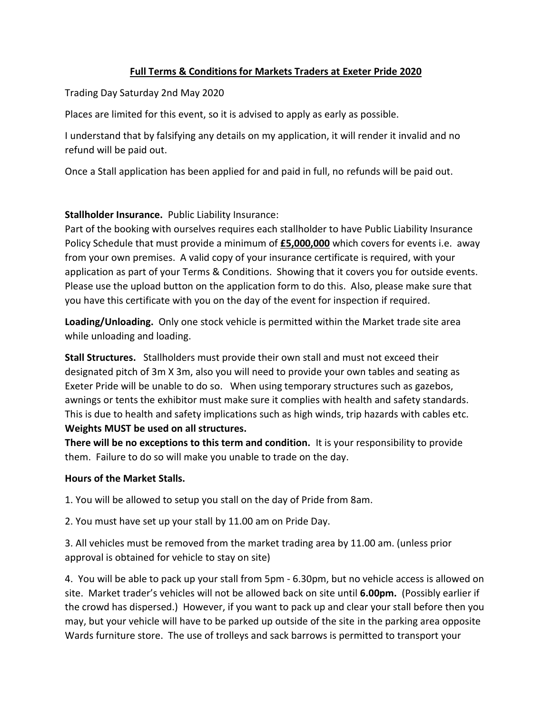## **Full Terms & Conditions for Markets Traders at Exeter Pride 2020**

Trading Day Saturday 2nd May 2020

Places are limited for this event, so it is advised to apply as early as possible.

I understand that by falsifying any details on my application, it will render it invalid and no refund will be paid out.

Once a Stall application has been applied for and paid in full, no refunds will be paid out.

# **Stallholder Insurance.** Public Liability Insurance:

Part of the booking with ourselves requires each stallholder to have Public Liability Insurance Policy Schedule that must provide a minimum of **£5,000,000** which covers for events i.e. away from your own premises. A valid copy of your insurance certificate is required, with your application as part of your Terms & Conditions. Showing that it covers you for outside events. Please use the upload button on the application form to do this. Also, please make sure that you have this certificate with you on the day of the event for inspection if required.

**Loading/Unloading.** Only one stock vehicle is permitted within the Market trade site area while unloading and loading.

**Stall Structures.** Stallholders must provide their own stall and must not exceed their designated pitch of 3m X 3m, also you will need to provide your own tables and seating as Exeter Pride will be unable to do so. When using temporary structures such as gazebos, awnings or tents the exhibitor must make sure it complies with health and safety standards. This is due to health and safety implications such as high winds, trip hazards with cables etc. **Weights MUST be used on all structures.** 

**There will be no exceptions to this term and condition.** It is your responsibility to provide them. Failure to do so will make you unable to trade on the day.

### **Hours of the Market Stalls.**

1. You will be allowed to setup you stall on the day of Pride from 8am.

2. You must have set up your stall by 11.00 am on Pride Day.

3. All vehicles must be removed from the market trading area by 11.00 am. (unless prior approval is obtained for vehicle to stay on site)

4. You will be able to pack up your stall from 5pm - 6.30pm, but no vehicle access is allowed on site. Market trader's vehicles will not be allowed back on site until **6.00pm.** (Possibly earlier if the crowd has dispersed.) However, if you want to pack up and clear your stall before then you may, but your vehicle will have to be parked up outside of the site in the parking area opposite Wards furniture store. The use of trolleys and sack barrows is permitted to transport your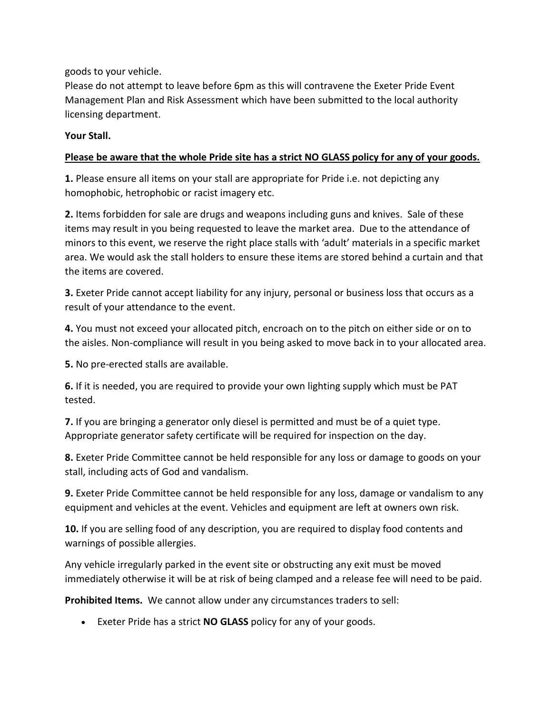goods to your vehicle.

Please do not attempt to leave before 6pm as this will contravene the Exeter Pride Event Management Plan and Risk Assessment which have been submitted to the local authority licensing department.

#### **Your Stall.**

#### **Please be aware that the whole Pride site has a strict NO GLASS policy for any of your goods.**

**1.** Please ensure all items on your stall are appropriate for Pride i.e. not depicting any homophobic, hetrophobic or racist imagery etc.

**2.** Items forbidden for sale are drugs and weapons including guns and knives. Sale of these items may result in you being requested to leave the market area. Due to the attendance of minors to this event, we reserve the right place stalls with 'adult' materials in a specific market area. We would ask the stall holders to ensure these items are stored behind a curtain and that the items are covered.

**3.** Exeter Pride cannot accept liability for any injury, personal or business loss that occurs as a result of your attendance to the event.

**4.** You must not exceed your allocated pitch, encroach on to the pitch on either side or on to the aisles. Non-compliance will result in you being asked to move back in to your allocated area.

**5.** No pre-erected stalls are available.

**6.** If it is needed, you are required to provide your own lighting supply which must be PAT tested.

**7.** If you are bringing a generator only diesel is permitted and must be of a quiet type. Appropriate generator safety certificate will be required for inspection on the day.

**8.** Exeter Pride Committee cannot be held responsible for any loss or damage to goods on your stall, including acts of God and vandalism.

**9.** Exeter Pride Committee cannot be held responsible for any loss, damage or vandalism to any equipment and vehicles at the event. Vehicles and equipment are left at owners own risk.

**10.** If you are selling food of any description, you are required to display food contents and warnings of possible allergies.

Any vehicle irregularly parked in the event site or obstructing any exit must be moved immediately otherwise it will be at risk of being clamped and a release fee will need to be paid.

**Prohibited Items.** We cannot allow under any circumstances traders to sell:

Exeter Pride has a strict **NO GLASS** policy for any of your goods.